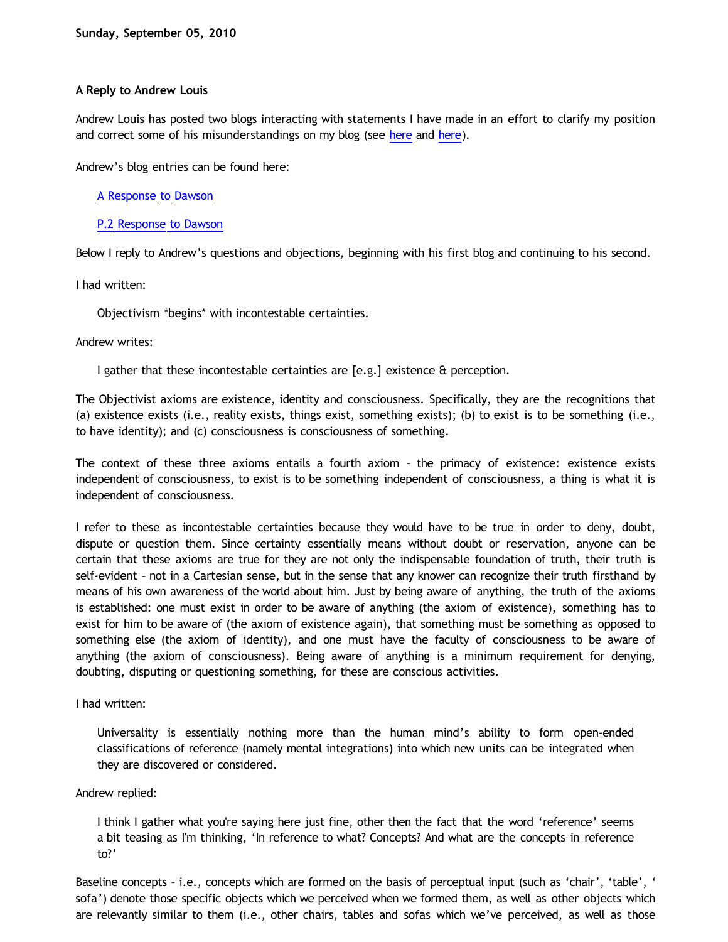# **A Reply to Andrew Louis**

Andrew Louis has posted two blogs interacting with statements I have made in an effort to clarify my position and correct some of his misunderstandings on my blog (see [here](http://bahnsenburner.blogspot.com/2010/09/my-squabble-with-andrew.html) and here).

Andrew's blog entries can be found here:

[A Response to Dawson](http://idiotphilosophy.blogspot.com/2010/09/response-to-dawson.html)

[P.2 Response to Dawson](http://idiotphilosophy.blogspot.com/2010/09/p2-response-to-dawson.html)

Below I reply to Andrew's questions and objections, beginning with his first blog and continuing to his second.

I had written:

Objectivism \*begins\* with incontestable certainties.

Andrew writes:

I gather that these incontestable certainties are [e.g.] existence & perception.

The Objectivist axioms are existence, identity and consciousness. Specifically, they are the recognitions that (a) existence exists (i.e., reality exists, things exist, something exists); (b) to exist is to be something (i.e., to have identity); and (c) consciousness is consciousness of something.

The context of these three axioms entails a fourth axiom – the primacy of existence: existence exists independent of consciousness, to exist is to be something independent of consciousness, a thing is what it is independent of consciousness.

I refer to these as incontestable certainties because they would have to be true in order to deny, doubt, dispute or question them. Since certainty essentially means without doubt or reservation, anyone can be certain that these axioms are true for they are not only the indispensable foundation of truth, their truth is self-evident – not in a Cartesian sense, but in the sense that any knower can recognize their truth firsthand by means of his own awareness of the world about him. Just by being aware of anything, the truth of the axioms is established: one must exist in order to be aware of anything (the axiom of existence), something has to exist for him to be aware of (the axiom of existence again), that something must be something as opposed to something else (the axiom of identity), and one must have the faculty of consciousness to be aware of anything (the axiom of consciousness). Being aware of anything is a minimum requirement for denying, doubting, disputing or questioning something, for these are conscious activities.

I had written:

Universality is essentially nothing more than the human mind's ability to form open-ended classifications of reference (namely mental integrations) into which new units can be integrated when they are discovered or considered.

Andrew replied:

I think I gather what you're saying here just fine, other then the fact that the word 'reference' seems a bit teasing as I'm thinking, 'In reference to what? Concepts? And what are the concepts in reference to?'

Baseline concepts – i.e., concepts which are formed on the basis of perceptual input (such as 'chair', 'table', ' sofa') denote those specific objects which we perceived when we formed them, as well as other objects which are relevantly similar to them (i.e., other chairs, tables and sofas which we've perceived, as well as those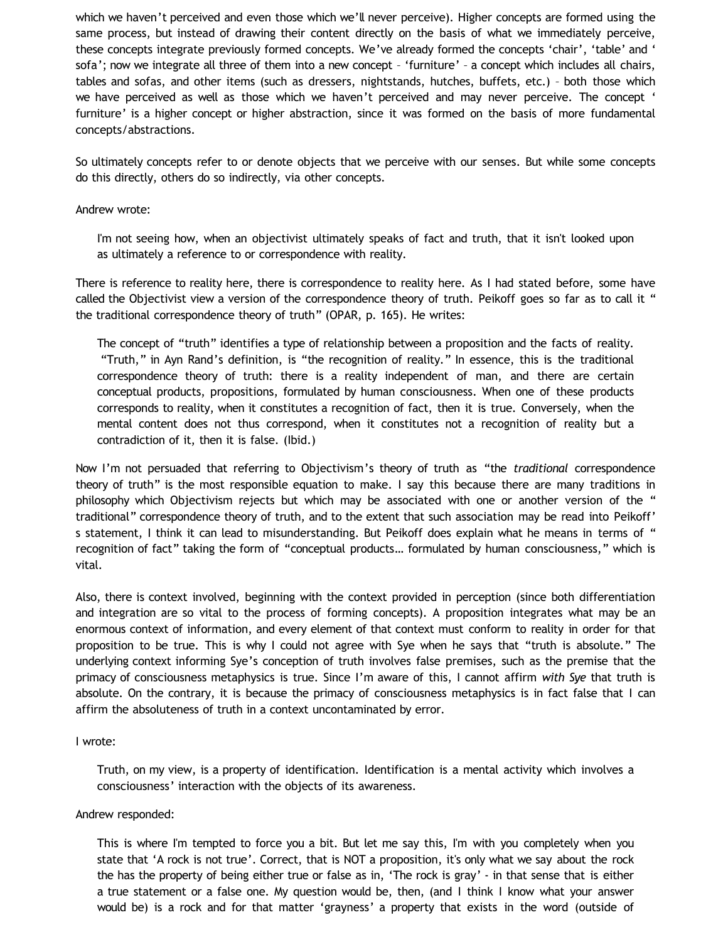which we haven't perceived and even those which we'll never perceive). Higher concepts are formed using the same process, but instead of drawing their content directly on the basis of what we immediately perceive, these concepts integrate previously formed concepts. We've already formed the concepts 'chair', 'table' and ' sofa'; now we integrate all three of them into a new concept - 'furniture' - a concept which includes all chairs, tables and sofas, and other items (such as dressers, nightstands, hutches, buffets, etc.) – both those which we have perceived as well as those which we haven't perceived and may never perceive. The concept ' furniture' is a higher concept or higher abstraction, since it was formed on the basis of more fundamental concepts/abstractions.

So ultimately concepts refer to or denote objects that we perceive with our senses. But while some concepts do this directly, others do so indirectly, via other concepts.

## Andrew wrote:

I'm not seeing how, when an objectivist ultimately speaks of fact and truth, that it isn't looked upon as ultimately a reference to or correspondence with reality.

There is reference to reality here, there is correspondence to reality here. As I had stated before, some have called the Objectivist view a version of the correspondence theory of truth. Peikoff goes so far as to call it " the traditional correspondence theory of truth" (OPAR, p. 165). He writes:

The concept of "truth" identifies a type of relationship between a proposition and the facts of reality. "Truth," in Ayn Rand's definition, is "the recognition of reality." In essence, this is the traditional correspondence theory of truth: there is a reality independent of man, and there are certain conceptual products, propositions, formulated by human consciousness. When one of these products corresponds to reality, when it constitutes a recognition of fact, then it is true. Conversely, when the mental content does not thus correspond, when it constitutes not a recognition of reality but a contradiction of it, then it is false. (Ibid.)

Now I'm not persuaded that referring to Objectivism's theory of truth as "the *traditional* correspondence theory of truth" is the most responsible equation to make. I say this because there are many traditions in philosophy which Objectivism rejects but which may be associated with one or another version of the " traditional" correspondence theory of truth, and to the extent that such association may be read into Peikoff' s statement, I think it can lead to misunderstanding. But Peikoff does explain what he means in terms of " recognition of fact" taking the form of "conceptual products… formulated by human consciousness," which is vital.

Also, there is context involved, beginning with the context provided in perception (since both differentiation and integration are so vital to the process of forming concepts). A proposition integrates what may be an enormous context of information, and every element of that context must conform to reality in order for that proposition to be true. This is why I could not agree with Sye when he says that "truth is absolute." The underlying context informing Sye's conception of truth involves false premises, such as the premise that the primacy of consciousness metaphysics is true. Since I'm aware of this, I cannot affirm *with Sye* that truth is absolute. On the contrary, it is because the primacy of consciousness metaphysics is in fact false that I can affirm the absoluteness of truth in a context uncontaminated by error.

#### I wrote:

Truth, on my view, is a property of identification. Identification is a mental activity which involves a consciousness' interaction with the objects of its awareness.

#### Andrew responded:

This is where I'm tempted to force you a bit. But let me say this, I'm with you completely when you state that 'A rock is not true'. Correct, that is NOT a proposition, it's only what we say about the rock the has the property of being either true or false as in, 'The rock is gray' - in that sense that is either a true statement or a false one. My question would be, then, (and I think I know what your answer would be) is a rock and for that matter 'grayness' a property that exists in the word (outside of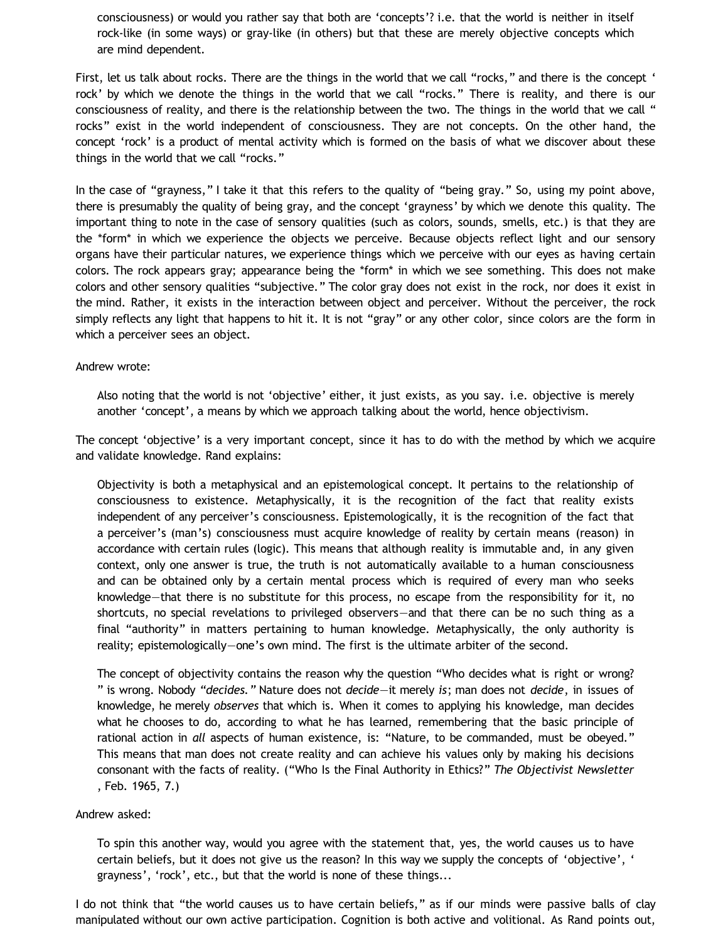consciousness) or would you rather say that both are 'concepts'? i.e. that the world is neither in itself rock-like (in some ways) or gray-like (in others) but that these are merely objective concepts which are mind dependent.

First, let us talk about rocks. There are the things in the world that we call "rocks," and there is the concept ' rock' by which we denote the things in the world that we call "rocks." There is reality, and there is our consciousness of reality, and there is the relationship between the two. The things in the world that we call " rocks" exist in the world independent of consciousness. They are not concepts. On the other hand, the concept 'rock' is a product of mental activity which is formed on the basis of what we discover about these things in the world that we call "rocks."

In the case of "grayness," I take it that this refers to the quality of "being gray." So, using my point above, there is presumably the quality of being gray, and the concept 'grayness' by which we denote this quality. The important thing to note in the case of sensory qualities (such as colors, sounds, smells, etc.) is that they are the \*form\* in which we experience the objects we perceive. Because objects reflect light and our sensory organs have their particular natures, we experience things which we perceive with our eyes as having certain colors. The rock appears gray; appearance being the \*form\* in which we see something. This does not make colors and other sensory qualities "subjective." The color gray does not exist in the rock, nor does it exist in the mind. Rather, it exists in the interaction between object and perceiver. Without the perceiver, the rock simply reflects any light that happens to hit it. It is not "gray" or any other color, since colors are the form in which a perceiver sees an object.

### Andrew wrote:

Also noting that the world is not 'objective' either, it just exists, as you say. i.e. objective is merely another 'concept', a means by which we approach talking about the world, hence objectivism.

The concept 'objective' is a very important concept, since it has to do with the method by which we acquire and validate knowledge. Rand explains:

Objectivity is both a metaphysical and an epistemological concept. It pertains to the relationship of consciousness to existence. Metaphysically, it is the recognition of the fact that reality exists independent of any perceiver's consciousness. Epistemologically, it is the recognition of the fact that a perceiver's (man's) consciousness must acquire knowledge of reality by certain means (reason) in accordance with certain rules (logic). This means that although reality is immutable and, in any given context, only one answer is true, the truth is not automatically available to a human consciousness and can be obtained only by a certain mental process which is required of every man who seeks knowledge—that there is no substitute for this process, no escape from the responsibility for it, no shortcuts, no special revelations to privileged observers—and that there can be no such thing as a final "authority" in matters pertaining to human knowledge. Metaphysically, the only authority is reality; epistemologically—one's own mind. The first is the ultimate arbiter of the second.

The concept of objectivity contains the reason why the question "Who decides what is right or wrong? " is wrong. Nobody *"decides."* Nature does not *decide*—it merely *is*; man does not *decide*, in issues of knowledge, he merely *observes* that which is. When it comes to applying his knowledge, man decides what he chooses to do, according to what he has learned, remembering that the basic principle of rational action in *all* aspects of human existence, is: "Nature, to be commanded, must be obeyed." This means that man does not create reality and can achieve his values only by making his decisions consonant with the facts of reality. ("Who Is the Final Authority in Ethics?" *The Objectivist Newsletter* , Feb. 1965, 7.)

### Andrew asked:

To spin this another way, would you agree with the statement that, yes, the world causes us to have certain beliefs, but it does not give us the reason? In this way we supply the concepts of 'objective', ' grayness', 'rock', etc., but that the world is none of these things...

I do not think that "the world causes us to have certain beliefs," as if our minds were passive balls of clay manipulated without our own active participation. Cognition is both active and volitional. As Rand points out,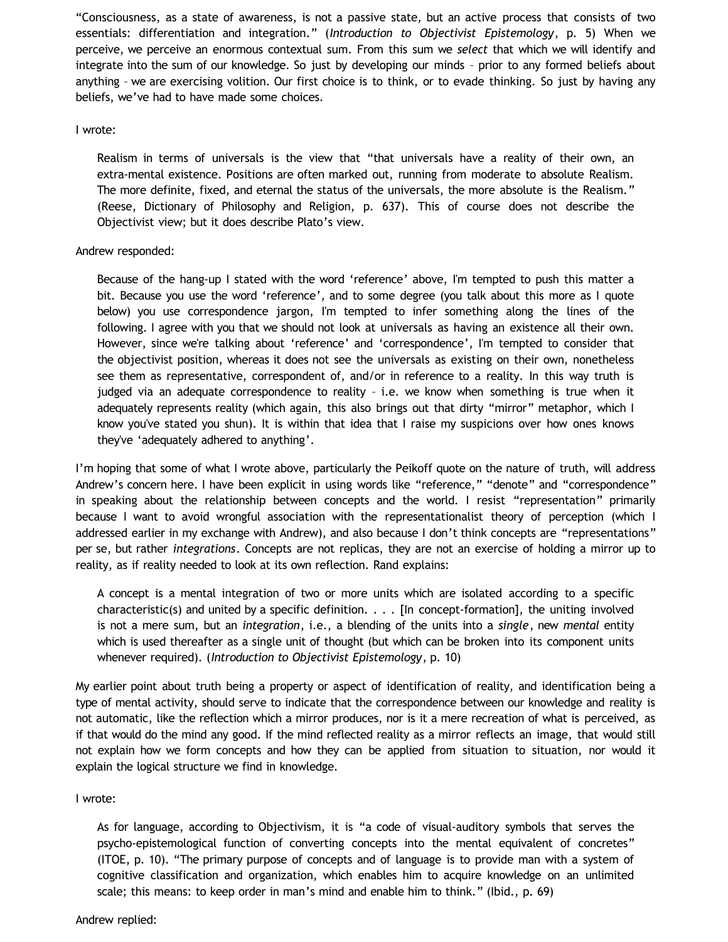"Consciousness, as a state of awareness, is not a passive state, but an active process that consists of two essentials: differentiation and integration." (*Introduction to Objectivist Epistemology*, p. 5) When we perceive, we perceive an enormous contextual sum. From this sum we *select* that which we will identify and integrate into the sum of our knowledge. So just by developing our minds – prior to any formed beliefs about anything – we are exercising volition. Our first choice is to think, or to evade thinking. So just by having any beliefs, we've had to have made some choices.

## I wrote:

Realism in terms of universals is the view that "that universals have a reality of their own, an extra-mental existence. Positions are often marked out, running from moderate to absolute Realism. The more definite, fixed, and eternal the status of the universals, the more absolute is the Realism." (Reese, Dictionary of Philosophy and Religion, p. 637). This of course does not describe the Objectivist view; but it does describe Plato's view.

## Andrew responded:

Because of the hang-up I stated with the word 'reference' above, I'm tempted to push this matter a bit. Because you use the word 'reference', and to some degree (you talk about this more as I quote below) you use correspondence jargon, I'm tempted to infer something along the lines of the following. I agree with you that we should not look at universals as having an existence all their own. However, since we're talking about 'reference' and 'correspondence', I'm tempted to consider that the objectivist position, whereas it does not see the universals as existing on their own, nonetheless see them as representative, correspondent of, and/or in reference to a reality. In this way truth is judged via an adequate correspondence to reality – i.e. we know when something is true when it adequately represents reality (which again, this also brings out that dirty "mirror" metaphor, which I know you've stated you shun). It is within that idea that I raise my suspicions over how ones knows they've 'adequately adhered to anything'.

I'm hoping that some of what I wrote above, particularly the Peikoff quote on the nature of truth, will address Andrew's concern here. I have been explicit in using words like "reference," "denote" and "correspondence" in speaking about the relationship between concepts and the world. I resist "representation" primarily because I want to avoid wrongful association with the representationalist theory of perception (which I addressed earlier in my exchange with Andrew), and also because I don't think concepts are "representations" per se, but rather *integrations*. Concepts are not replicas, they are not an exercise of holding a mirror up to reality, as if reality needed to look at its own reflection. Rand explains:

A concept is a mental integration of two or more units which are isolated according to a specific characteristic(s) and united by a specific definition. . . . [In concept-formation], the uniting involved is not a mere sum, but an *integration*, i.e., a blending of the units into a *single*, new *mental* entity which is used thereafter as a single unit of thought (but which can be broken into its component units whenever required). (*Introduction to Objectivist Epistemology*, p. 10)

My earlier point about truth being a property or aspect of identification of reality, and identification being a type of mental activity, should serve to indicate that the correspondence between our knowledge and reality is not automatic, like the reflection which a mirror produces, nor is it a mere recreation of what is perceived, as if that would do the mind any good. If the mind reflected reality as a mirror reflects an image, that would still not explain how we form concepts and how they can be applied from situation to situation, nor would it explain the logical structure we find in knowledge.

# I wrote:

As for language, according to Objectivism, it is "a code of visual-auditory symbols that serves the psycho-epistemological function of converting concepts into the mental equivalent of concretes" (ITOE, p. 10). "The primary purpose of concepts and of language is to provide man with a system of cognitive classification and organization, which enables him to acquire knowledge on an unlimited scale; this means: to keep order in man's mind and enable him to think." (Ibid., p. 69)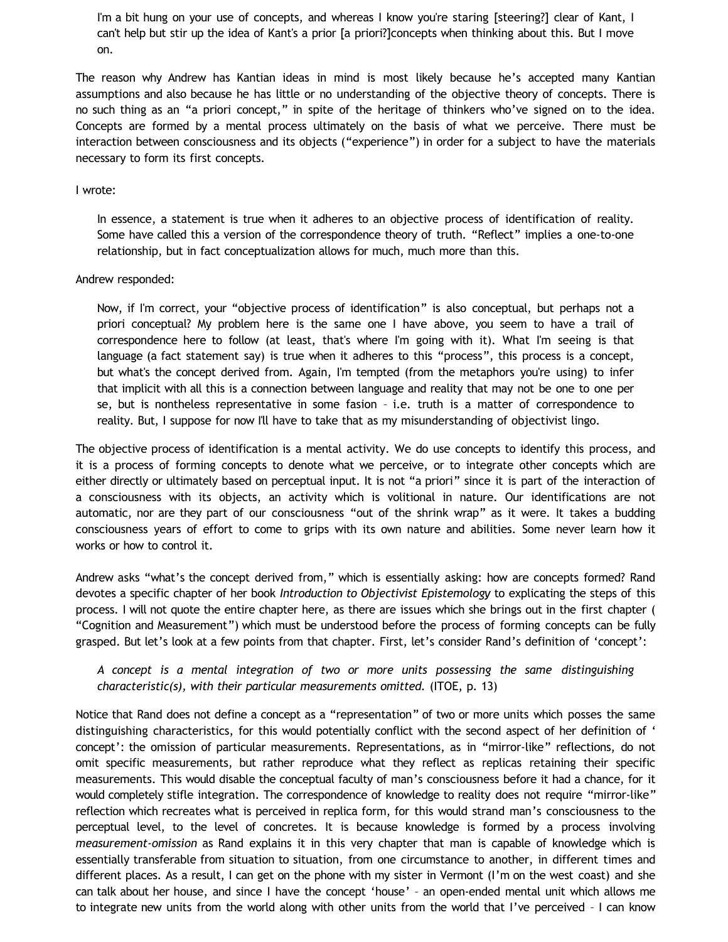I'm a bit hung on your use of concepts, and whereas I know you're staring [steering?] clear of Kant, I can't help but stir up the idea of Kant's a prior [a priori?]concepts when thinking about this. But I move on.

The reason why Andrew has Kantian ideas in mind is most likely because he's accepted many Kantian assumptions and also because he has little or no understanding of the objective theory of concepts. There is no such thing as an "a priori concept," in spite of the heritage of thinkers who've signed on to the idea. Concepts are formed by a mental process ultimately on the basis of what we perceive. There must be interaction between consciousness and its objects ("experience") in order for a subject to have the materials necessary to form its first concepts.

#### I wrote:

In essence, a statement is true when it adheres to an objective process of identification of reality. Some have called this a version of the correspondence theory of truth. "Reflect" implies a one-to-one relationship, but in fact conceptualization allows for much, much more than this.

#### Andrew responded:

Now, if I'm correct, your "objective process of identification" is also conceptual, but perhaps not a priori conceptual? My problem here is the same one I have above, you seem to have a trail of correspondence here to follow (at least, that's where I'm going with it). What I'm seeing is that language (a fact statement say) is true when it adheres to this "process", this process is a concept, but what's the concept derived from. Again, I'm tempted (from the metaphors you're using) to infer that implicit with all this is a connection between language and reality that may not be one to one per se, but is nontheless representative in some fasion – i.e. truth is a matter of correspondence to reality. But, I suppose for now I'll have to take that as my misunderstanding of objectivist lingo.

The objective process of identification is a mental activity. We do use concepts to identify this process, and it is a process of forming concepts to denote what we perceive, or to integrate other concepts which are either directly or ultimately based on perceptual input. It is not "a priori" since it is part of the interaction of a consciousness with its objects, an activity which is volitional in nature. Our identifications are not automatic, nor are they part of our consciousness "out of the shrink wrap" as it were. It takes a budding consciousness years of effort to come to grips with its own nature and abilities. Some never learn how it works or how to control it.

Andrew asks "what's the concept derived from," which is essentially asking: how are concepts formed? Rand devotes a specific chapter of her book *Introduction to Objectivist Epistemology* to explicating the steps of this process. I will not quote the entire chapter here, as there are issues which she brings out in the first chapter ( "Cognition and Measurement") which must be understood before the process of forming concepts can be fully grasped. But let's look at a few points from that chapter. First, let's consider Rand's definition of 'concept':

# *A concept is a mental integration of two or more units possessing the same distinguishing characteristic(s), with their particular measurements omitted.* (ITOE, p. 13)

Notice that Rand does not define a concept as a "representation" of two or more units which posses the same distinguishing characteristics, for this would potentially conflict with the second aspect of her definition of ' concept': the omission of particular measurements. Representations, as in "mirror-like" reflections, do not omit specific measurements, but rather reproduce what they reflect as replicas retaining their specific measurements. This would disable the conceptual faculty of man's consciousness before it had a chance, for it would completely stifle integration. The correspondence of knowledge to reality does not require "mirror-like" reflection which recreates what is perceived in replica form, for this would strand man's consciousness to the perceptual level, to the level of concretes. It is because knowledge is formed by a process involving *measurement-omission* as Rand explains it in this very chapter that man is capable of knowledge which is essentially transferable from situation to situation, from one circumstance to another, in different times and different places. As a result, I can get on the phone with my sister in Vermont (I'm on the west coast) and she can talk about her house, and since I have the concept 'house' – an open-ended mental unit which allows me to integrate new units from the world along with other units from the world that I've perceived – I can know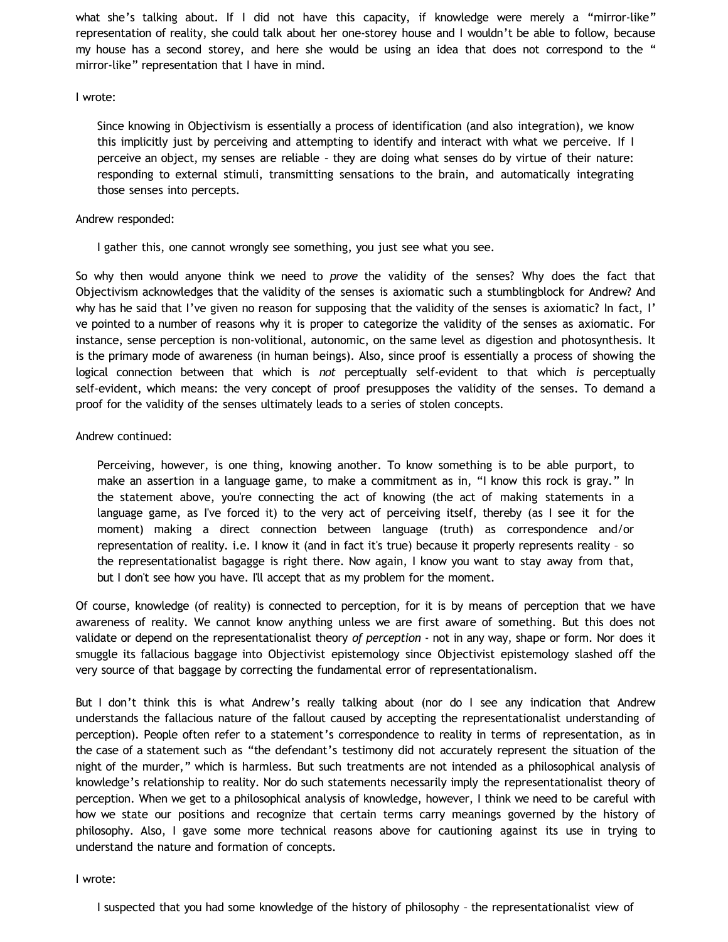what she's talking about. If I did not have this capacity, if knowledge were merely a "mirror-like" representation of reality, she could talk about her one-storey house and I wouldn't be able to follow, because my house has a second storey, and here she would be using an idea that does not correspond to the " mirror-like" representation that I have in mind.

## I wrote:

Since knowing in Objectivism is essentially a process of identification (and also integration), we know this implicitly just by perceiving and attempting to identify and interact with what we perceive. If I perceive an object, my senses are reliable – they are doing what senses do by virtue of their nature: responding to external stimuli, transmitting sensations to the brain, and automatically integrating those senses into percepts.

# Andrew responded:

I gather this, one cannot wrongly see something, you just see what you see.

So why then would anyone think we need to *prove* the validity of the senses? Why does the fact that Objectivism acknowledges that the validity of the senses is axiomatic such a stumblingblock for Andrew? And why has he said that I've given no reason for supposing that the validity of the senses is axiomatic? In fact, I' ve pointed to a number of reasons why it is proper to categorize the validity of the senses as axiomatic. For instance, sense perception is non-volitional, autonomic, on the same level as digestion and photosynthesis. It is the primary mode of awareness (in human beings). Also, since proof is essentially a process of showing the logical connection between that which is *not* perceptually self-evident to that which *is* perceptually self-evident, which means: the very concept of proof presupposes the validity of the senses. To demand a proof for the validity of the senses ultimately leads to a series of stolen concepts.

# Andrew continued:

Perceiving, however, is one thing, knowing another. To know something is to be able purport, to make an assertion in a language game, to make a commitment as in, "I know this rock is gray." In the statement above, you're connecting the act of knowing (the act of making statements in a language game, as I've forced it) to the very act of perceiving itself, thereby (as I see it for the moment) making a direct connection between language (truth) as correspondence and/or representation of reality. i.e. I know it (and in fact it's true) because it properly represents reality – so the representationalist bagagge is right there. Now again, I know you want to stay away from that, but I don't see how you have. I'll accept that as my problem for the moment.

Of course, knowledge (of reality) is connected to perception, for it is by means of perception that we have awareness of reality. We cannot know anything unless we are first aware of something. But this does not validate or depend on the representationalist theory *of perception* - not in any way, shape or form. Nor does it smuggle its fallacious baggage into Objectivist epistemology since Objectivist epistemology slashed off the very source of that baggage by correcting the fundamental error of representationalism.

But I don't think this is what Andrew's really talking about (nor do I see any indication that Andrew understands the fallacious nature of the fallout caused by accepting the representationalist understanding of perception). People often refer to a statement's correspondence to reality in terms of representation, as in the case of a statement such as "the defendant's testimony did not accurately represent the situation of the night of the murder," which is harmless. But such treatments are not intended as a philosophical analysis of knowledge's relationship to reality. Nor do such statements necessarily imply the representationalist theory of perception. When we get to a philosophical analysis of knowledge, however, I think we need to be careful with how we state our positions and recognize that certain terms carry meanings governed by the history of philosophy. Also, I gave some more technical reasons above for cautioning against its use in trying to understand the nature and formation of concepts.

I wrote: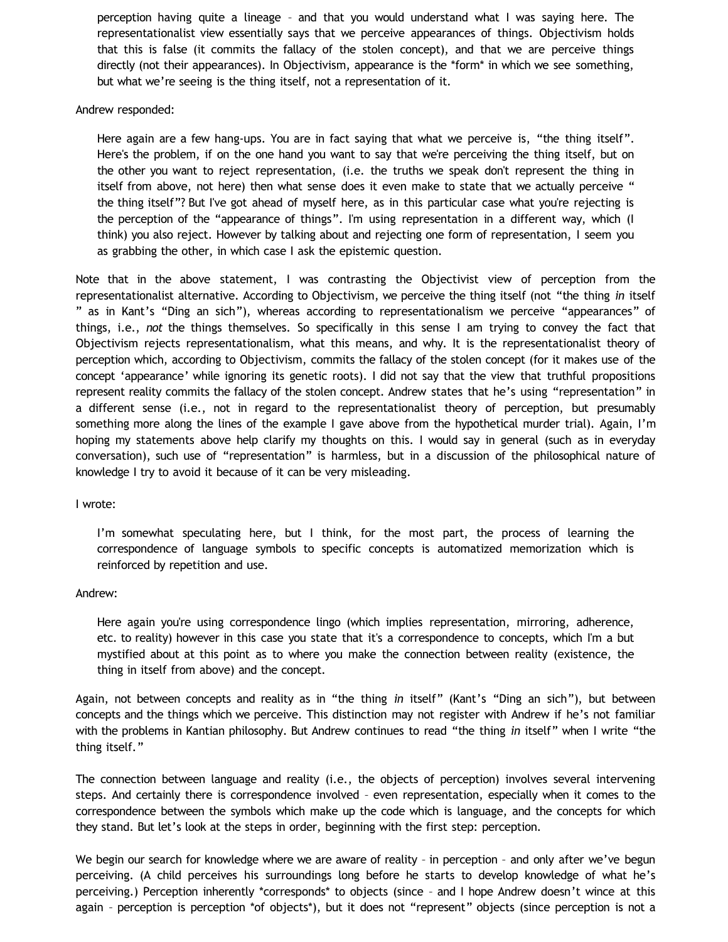perception having quite a lineage – and that you would understand what I was saying here. The representationalist view essentially says that we perceive appearances of things. Objectivism holds that this is false (it commits the fallacy of the stolen concept), and that we are perceive things directly (not their appearances). In Objectivism, appearance is the \*form\* in which we see something, but what we're seeing is the thing itself, not a representation of it.

### Andrew responded:

Here again are a few hang-ups. You are in fact saying that what we perceive is, "the thing itself". Here's the problem, if on the one hand you want to say that we're perceiving the thing itself, but on the other you want to reject representation, (i.e. the truths we speak don't represent the thing in itself from above, not here) then what sense does it even make to state that we actually perceive " the thing itself"? But I've got ahead of myself here, as in this particular case what you're rejecting is the perception of the "appearance of things". I'm using representation in a different way, which (I think) you also reject. However by talking about and rejecting one form of representation, I seem you as grabbing the other, in which case I ask the epistemic question.

Note that in the above statement, I was contrasting the Objectivist view of perception from the representationalist alternative. According to Objectivism, we perceive the thing itself (not "the thing *in* itself " as in Kant's "Ding an sich"), whereas according to representationalism we perceive "appearances" of things, i.e., *not* the things themselves. So specifically in this sense I am trying to convey the fact that Objectivism rejects representationalism, what this means, and why. It is the representationalist theory of perception which, according to Objectivism, commits the fallacy of the stolen concept (for it makes use of the concept 'appearance' while ignoring its genetic roots). I did not say that the view that truthful propositions represent reality commits the fallacy of the stolen concept. Andrew states that he's using "representation" in a different sense (i.e., not in regard to the representationalist theory of perception, but presumably something more along the lines of the example I gave above from the hypothetical murder trial). Again, I'm hoping my statements above help clarify my thoughts on this. I would say in general (such as in everyday conversation), such use of "representation" is harmless, but in a discussion of the philosophical nature of knowledge I try to avoid it because of it can be very misleading.

I wrote:

I'm somewhat speculating here, but I think, for the most part, the process of learning the correspondence of language symbols to specific concepts is automatized memorization which is reinforced by repetition and use.

#### Andrew:

Here again you're using correspondence lingo (which implies representation, mirroring, adherence, etc. to reality) however in this case you state that it's a correspondence to concepts, which I'm a but mystified about at this point as to where you make the connection between reality (existence, the thing in itself from above) and the concept.

Again, not between concepts and reality as in "the thing *in* itself" (Kant's "Ding an sich"), but between concepts and the things which we perceive. This distinction may not register with Andrew if he's not familiar with the problems in Kantian philosophy. But Andrew continues to read "the thing *in* itself" when I write "the thing itself."

The connection between language and reality (i.e., the objects of perception) involves several intervening steps. And certainly there is correspondence involved – even representation, especially when it comes to the correspondence between the symbols which make up the code which is language, and the concepts for which they stand. But let's look at the steps in order, beginning with the first step: perception.

We begin our search for knowledge where we are aware of reality - in perception - and only after we've begun perceiving. (A child perceives his surroundings long before he starts to develop knowledge of what he's perceiving.) Perception inherently \*corresponds\* to objects (since – and I hope Andrew doesn't wince at this again - perception is perception \*of objects\*), but it does not "represent" objects (since perception is not a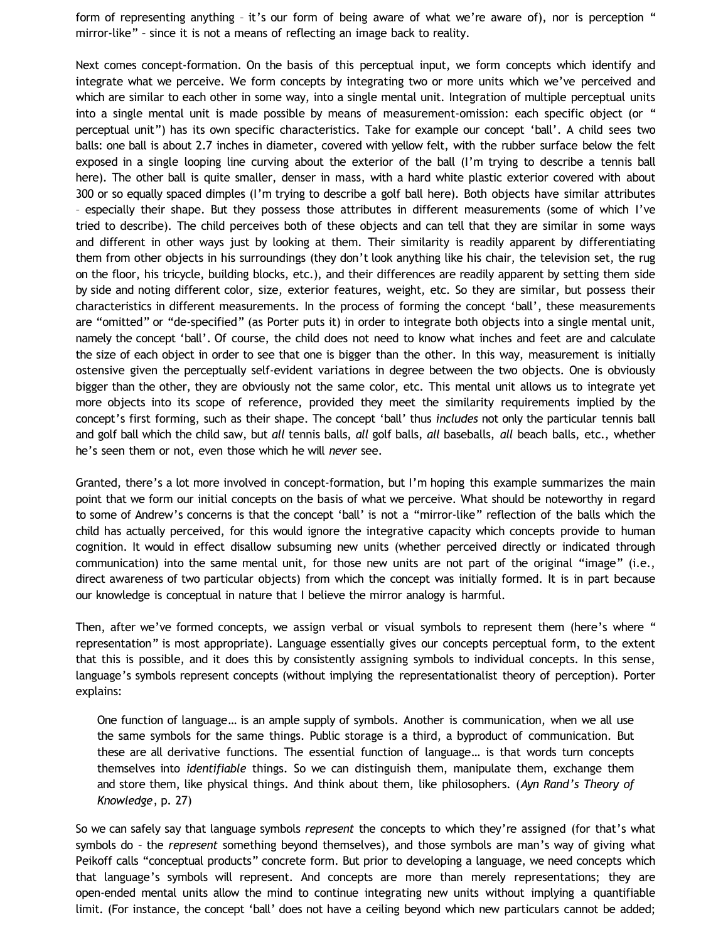form of representing anything – it's our form of being aware of what we're aware of), nor is perception " mirror-like" – since it is not a means of reflecting an image back to reality.

Next comes concept-formation. On the basis of this perceptual input, we form concepts which identify and integrate what we perceive. We form concepts by integrating two or more units which we've perceived and which are similar to each other in some way, into a single mental unit. Integration of multiple perceptual units into a single mental unit is made possible by means of measurement-omission: each specific object (or " perceptual unit") has its own specific characteristics. Take for example our concept 'ball'. A child sees two balls: one ball is about 2.7 inches in diameter, covered with yellow felt, with the rubber surface below the felt exposed in a single looping line curving about the exterior of the ball (I'm trying to describe a tennis ball here). The other ball is quite smaller, denser in mass, with a hard white plastic exterior covered with about 300 or so equally spaced dimples (I'm trying to describe a golf ball here). Both objects have similar attributes – especially their shape. But they possess those attributes in different measurements (some of which I've tried to describe). The child perceives both of these objects and can tell that they are similar in some ways and different in other ways just by looking at them. Their similarity is readily apparent by differentiating them from other objects in his surroundings (they don't look anything like his chair, the television set, the rug on the floor, his tricycle, building blocks, etc.), and their differences are readily apparent by setting them side by side and noting different color, size, exterior features, weight, etc. So they are similar, but possess their characteristics in different measurements. In the process of forming the concept 'ball', these measurements are "omitted" or "de-specified" (as Porter puts it) in order to integrate both objects into a single mental unit, namely the concept 'ball'. Of course, the child does not need to know what inches and feet are and calculate the size of each object in order to see that one is bigger than the other. In this way, measurement is initially ostensive given the perceptually self-evident variations in degree between the two objects. One is obviously bigger than the other, they are obviously not the same color, etc. This mental unit allows us to integrate yet more objects into its scope of reference, provided they meet the similarity requirements implied by the concept's first forming, such as their shape. The concept 'ball' thus *includes* not only the particular tennis ball and golf ball which the child saw, but *all* tennis balls, *all* golf balls, *all* baseballs, *all* beach balls, etc., whether he's seen them or not, even those which he will *never* see.

Granted, there's a lot more involved in concept-formation, but I'm hoping this example summarizes the main point that we form our initial concepts on the basis of what we perceive. What should be noteworthy in regard to some of Andrew's concerns is that the concept 'ball' is not a "mirror-like" reflection of the balls which the child has actually perceived, for this would ignore the integrative capacity which concepts provide to human cognition. It would in effect disallow subsuming new units (whether perceived directly or indicated through communication) into the same mental unit, for those new units are not part of the original "image" (i.e., direct awareness of two particular objects) from which the concept was initially formed. It is in part because our knowledge is conceptual in nature that I believe the mirror analogy is harmful.

Then, after we've formed concepts, we assign verbal or visual symbols to represent them (here's where " representation" is most appropriate). Language essentially gives our concepts perceptual form, to the extent that this is possible, and it does this by consistently assigning symbols to individual concepts. In this sense, language's symbols represent concepts (without implying the representationalist theory of perception). Porter explains:

One function of language… is an ample supply of symbols. Another is communication, when we all use the same symbols for the same things. Public storage is a third, a byproduct of communication. But these are all derivative functions. The essential function of language… is that words turn concepts themselves into *identifiable* things. So we can distinguish them, manipulate them, exchange them and store them, like physical things. And think about them, like philosophers. (*Ayn Rand's Theory of Knowledge*, p. 27)

So we can safely say that language symbols *represent* the concepts to which they're assigned (for that's what symbols do – the *represent* something beyond themselves), and those symbols are man's way of giving what Peikoff calls "conceptual products" concrete form. But prior to developing a language, we need concepts which that language's symbols will represent. And concepts are more than merely representations; they are open-ended mental units allow the mind to continue integrating new units without implying a quantifiable limit. (For instance, the concept 'ball' does not have a ceiling beyond which new particulars cannot be added;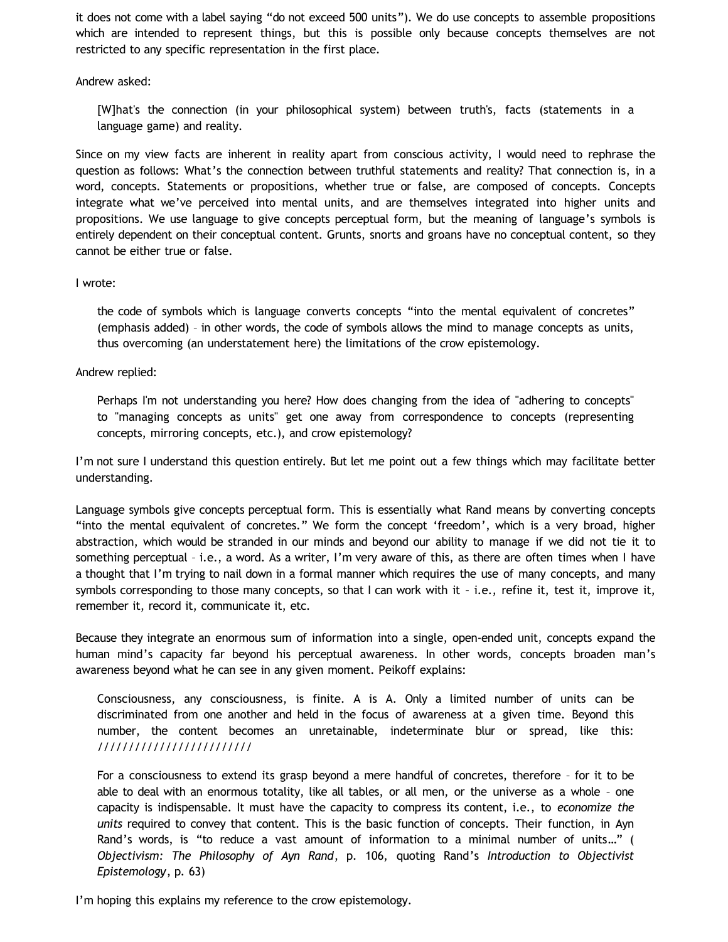it does not come with a label saying "do not exceed 500 units"). We do use concepts to assemble propositions which are intended to represent things, but this is possible only because concepts themselves are not restricted to any specific representation in the first place.

Andrew asked:

[W]hat's the connection (in your philosophical system) between truth's, facts (statements in a language game) and reality.

Since on my view facts are inherent in reality apart from conscious activity, I would need to rephrase the question as follows: What's the connection between truthful statements and reality? That connection is, in a word, concepts. Statements or propositions, whether true or false, are composed of concepts. Concepts integrate what we've perceived into mental units, and are themselves integrated into higher units and propositions. We use language to give concepts perceptual form, but the meaning of language's symbols is entirely dependent on their conceptual content. Grunts, snorts and groans have no conceptual content, so they cannot be either true or false.

# I wrote:

the code of symbols which is language converts concepts "into the mental equivalent of concretes" (emphasis added) – in other words, the code of symbols allows the mind to manage concepts as units, thus overcoming (an understatement here) the limitations of the crow epistemology.

# Andrew replied:

Perhaps I'm not understanding you here? How does changing from the idea of "adhering to concepts" to "managing concepts as units" get one away from correspondence to concepts (representing concepts, mirroring concepts, etc.), and crow epistemology?

I'm not sure I understand this question entirely. But let me point out a few things which may facilitate better understanding.

Language symbols give concepts perceptual form. This is essentially what Rand means by converting concepts "into the mental equivalent of concretes." We form the concept 'freedom', which is a very broad, higher abstraction, which would be stranded in our minds and beyond our ability to manage if we did not tie it to something perceptual – i.e., a word. As a writer, I'm very aware of this, as there are often times when I have a thought that I'm trying to nail down in a formal manner which requires the use of many concepts, and many symbols corresponding to those many concepts, so that I can work with it – i.e., refine it, test it, improve it, remember it, record it, communicate it, etc.

Because they integrate an enormous sum of information into a single, open-ended unit, concepts expand the human mind's capacity far beyond his perceptual awareness. In other words, concepts broaden man's awareness beyond what he can see in any given moment. Peikoff explains:

Consciousness, any consciousness, is finite. A is A. Only a limited number of units can be discriminated from one another and held in the focus of awareness at a given time. Beyond this number, the content becomes an unretainable, indeterminate blur or spread, like this: /////////////////////////

For a consciousness to extend its grasp beyond a mere handful of concretes, therefore – for it to be able to deal with an enormous totality, like all tables, or all men, or the universe as a whole – one capacity is indispensable. It must have the capacity to compress its content, i.e., to *economize the units* required to convey that content. This is the basic function of concepts. Their function, in Ayn Rand's words, is "to reduce a vast amount of information to a minimal number of units…" ( *Objectivism: The Philosophy of Ayn Rand*, p. 106, quoting Rand's *Introduction to Objectivist Epistemology*, p. 63)

I'm hoping this explains my reference to the crow epistemology.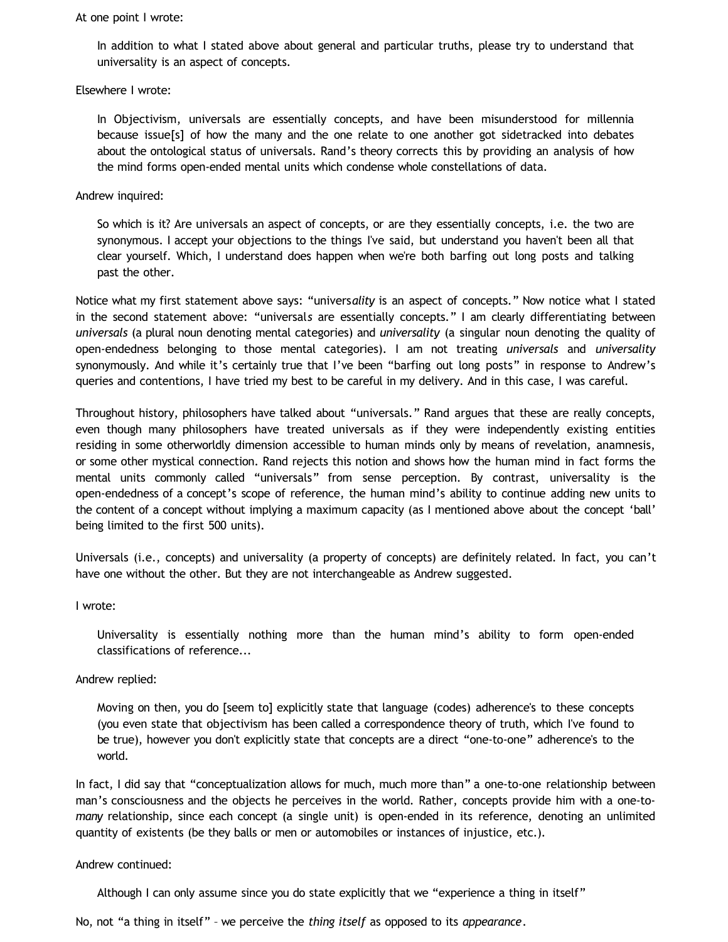#### At one point I wrote:

In addition to what I stated above about general and particular truths, please try to understand that universality is an aspect of concepts.

### Elsewhere I wrote:

In Objectivism, universals are essentially concepts, and have been misunderstood for millennia because issue[s] of how the many and the one relate to one another got sidetracked into debates about the ontological status of universals. Rand's theory corrects this by providing an analysis of how the mind forms open-ended mental units which condense whole constellations of data.

## Andrew inquired:

So which is it? Are universals an aspect of concepts, or are they essentially concepts, i.e. the two are synonymous. I accept your objections to the things I've said, but understand you haven't been all that clear yourself. Which, I understand does happen when we're both barfing out long posts and talking past the other.

Notice what my first statement above says: "univers*ality* is an aspect of concepts." Now notice what I stated in the second statement above: "universal*s* are essentially concepts." I am clearly differentiating between *universals* (a plural noun denoting mental categories) and *universality* (a singular noun denoting the quality of open-endedness belonging to those mental categories). I am not treating *universals* and *universality* synonymously. And while it's certainly true that I've been "barfing out long posts" in response to Andrew's queries and contentions, I have tried my best to be careful in my delivery. And in this case, I was careful.

Throughout history, philosophers have talked about "universals." Rand argues that these are really concepts, even though many philosophers have treated universals as if they were independently existing entities residing in some otherworldly dimension accessible to human minds only by means of revelation, anamnesis, or some other mystical connection. Rand rejects this notion and shows how the human mind in fact forms the mental units commonly called "universals" from sense perception. By contrast, universality is the open-endedness of a concept's scope of reference, the human mind's ability to continue adding new units to the content of a concept without implying a maximum capacity (as I mentioned above about the concept 'ball' being limited to the first 500 units).

Universals (i.e., concepts) and universality (a property of concepts) are definitely related. In fact, you can't have one without the other. But they are not interchangeable as Andrew suggested.

## I wrote:

Universality is essentially nothing more than the human mind's ability to form open-ended classifications of reference...

## Andrew replied:

Moving on then, you do [seem to] explicitly state that language (codes) adherence's to these concepts (you even state that objectivism has been called a correspondence theory of truth, which I've found to be true), however you don't explicitly state that concepts are a direct "one-to-one" adherence's to the world.

In fact, I did say that "conceptualization allows for much, much more than" a one-to-one relationship between man's consciousness and the objects he perceives in the world. Rather, concepts provide him with a one-to*many* relationship, since each concept (a single unit) is open-ended in its reference, denoting an unlimited quantity of existents (be they balls or men or automobiles or instances of injustice, etc.).

### Andrew continued:

Although I can only assume since you do state explicitly that we "experience a thing in itself"

No, not "a thing in itself" – we perceive the *thing itself* as opposed to its *appearance*.